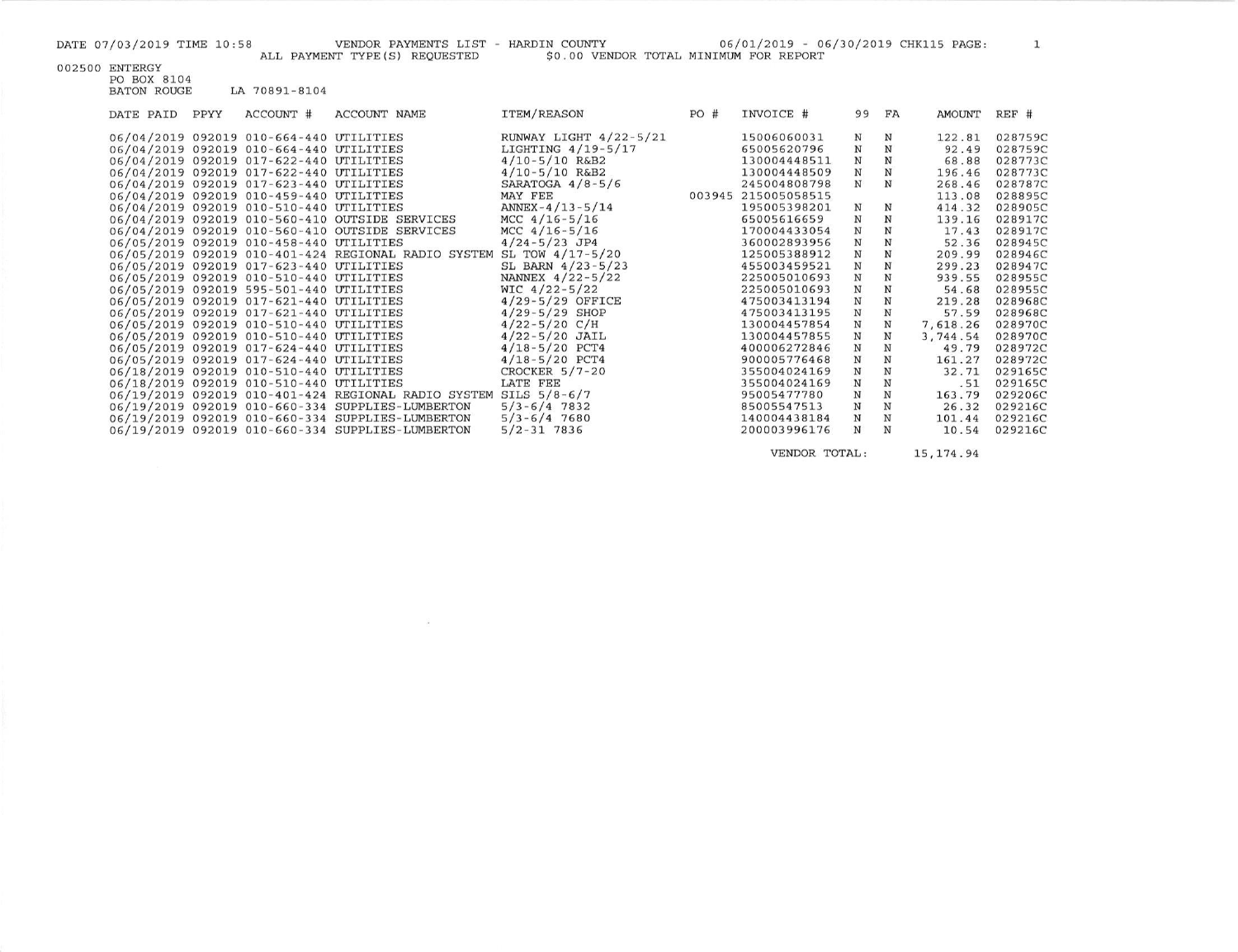$\mathbf{1}$ 

002500 ENTERGY<br>PO BOX 8104<br>BATON ROUGE LA 70891-8104

| DATE PAID | PPYY | ACCOUNT #                               | ACCOUNT NAME                                        | ITEM/REASON              | PO#    | INVOICE #    | 99           | FA          | AMOUNT   | REF #   |
|-----------|------|-----------------------------------------|-----------------------------------------------------|--------------------------|--------|--------------|--------------|-------------|----------|---------|
|           |      | 06/04/2019 092019 010-664-440 UTILITIES |                                                     | RUNWAY LIGHT $4/22-5/21$ |        | 15006060031  | Ν            | N           | 122.81   | 028759C |
|           |      | 06/04/2019 092019 010-664-440 UTILITIES |                                                     | LIGHTING $4/19-5/17$     |        | 65005620796  | N            | N           | 92.49    | 028759C |
|           |      | 06/04/2019 092019 017-622-440 UTILITIES |                                                     | $4/10 - 5/10$ R&B2       |        | 130004448511 | N            | N           | 68.88    | 028773C |
|           |      | 06/04/2019 092019 017-622-440 UTILITIES |                                                     | $4/10 - 5/10$ R&B2       |        | 130004448509 | $\mathbf N$  | $\mathbf N$ | 196.46   | 028773C |
|           |      | 06/04/2019 092019 017-623-440 UTILITIES |                                                     | SARATOGA $4/8-5/6$       |        | 245004808798 | N            | N           | 268.46   | 028787C |
|           |      | 06/04/2019 092019 010-459-440 UTILITIES |                                                     | MAY FEE                  | 003945 | 215005058515 |              |             | 113.08   | 028895C |
|           |      | 06/04/2019 092019 010-510-440 UTILITIES |                                                     | ANNEX-4/13-5/14          |        | 195005398201 | N            | N           | 414.32   | 028905C |
|           |      |                                         | 06/04/2019 092019 010-560-410 OUTSIDE SERVICES      | MCC $4/16 - 5/16$        |        | 65005616659  | N            | $\mathbf N$ | 139.16   | 028917C |
|           |      |                                         | 06/04/2019 092019 010-560-410 OUTSIDE SERVICES      | MCC $4/16-5/16$          |        | 170004433054 | N            | N           | 17.43    | 028917C |
|           |      | 06/05/2019 092019 010-458-440 UTILITIES |                                                     | $4/24 - 5/23$ JP4        |        | 360002893956 | N            | N           | 52.36    | 028945C |
|           |      |                                         | 06/05/2019 092019 010-401-424 REGIONAL RADIO SYSTEM | SL TOW $4/17 - 5/20$     |        | 125005388912 | $\, {\rm N}$ | N           | 209.99   | 028946C |
|           |      | 06/05/2019 092019 017-623-440 UTILITIES |                                                     | SL BARN $4/23-5/23$      |        | 455003459521 | $\mathbf N$  | ${\bf N}$   | 299.23   | 028947C |
|           |      | 06/05/2019 092019 010-510-440 UTILITIES |                                                     | NANNEX 4/22-5/22         |        | 225005010693 | $\mathbf N$  | $\mathbf N$ | 939.55   | 028955C |
|           |      | 06/05/2019 092019 595-501-440 UTILITIES |                                                     | WIC $4/22 - 5/22$        |        | 225005010693 | $\mathbf N$  | N           | 54.68    | 028955C |
|           |      | 06/05/2019 092019 017-621-440 UTILITIES |                                                     | $4/29-5/29$ OFFICE       |        | 475003413194 | $\mathbf N$  | $\mathbf N$ | 219.28   | 028968C |
|           |      | 06/05/2019 092019 017-621-440 UTILITIES |                                                     | $4/29 - 5/29$ SHOP       |        | 475003413195 | $\mathbf N$  | $_{\rm N}$  | 57.59    | 028968C |
|           |      | 06/05/2019 092019 010-510-440 UTILITIES |                                                     | $4/22 - 5/20$ C/H        |        | 130004457854 | $\mathbf N$  | $\mathbf N$ | 7,618.26 | 028970C |
|           |      | 06/05/2019 092019 010-510-440 UTILITIES |                                                     | $4/22 - 5/20$ JAIL       |        | 130004457855 | N            | $\mathbf N$ | 3,744.54 | 028970C |
|           |      | 06/05/2019 092019 017-624-440 UTILITIES |                                                     | $4/18 - 5/20$ PCT4       |        | 400006272846 | N            |             | 49.79    | 028972C |
|           |      | 06/05/2019 092019 017-624-440 UTILITIES |                                                     | $4/18 - 5/20$ PCT4       |        | 900005776468 | $\mathbf N$  | N           | 161.27   | 028972C |
|           |      | 06/18/2019 092019 010-510-440 UTILITIES |                                                     | CROCKER $5/7 - 20$       |        | 355004024169 | $\mathbf N$  | ${\bf N}$   | 32.71    | 029165C |
|           |      | 06/18/2019 092019 010-510-440 UTILITIES |                                                     | LATE FEE                 |        | 355004024169 | $\mathbf N$  | $\mathbf N$ | .51      | 029165C |
|           |      |                                         | 06/19/2019 092019 010-401-424 REGIONAL RADIO SYSTEM | SILS $5/8 - 6/7$         |        | 95005477780  | $\mathbf N$  | $_{\rm N}$  | 163.79   | 029206C |
|           |      |                                         | 06/19/2019 092019 010-660-334 SUPPLIES-LUMBERTON    | $5/3 - 6/4$ 7832         |        | 85005547513  | N            | N           | 26.32    | 029216C |
|           |      |                                         | 06/19/2019 092019 010-660-334 SUPPLIES-LUMBERTON    | $5/3 - 6/4$ 7680         |        | 140004438184 | N            | N           | 101.44   | 029216C |
|           |      |                                         | 06/19/2019 092019 010-660-334 SUPPLIES-LUMBERTON    | $5/2 - 31$ 7836          |        | 200003996176 | N            | N           | 10.54    | 029216C |

 $\sim$ 

VENDOR TOTAL: 15, 174.94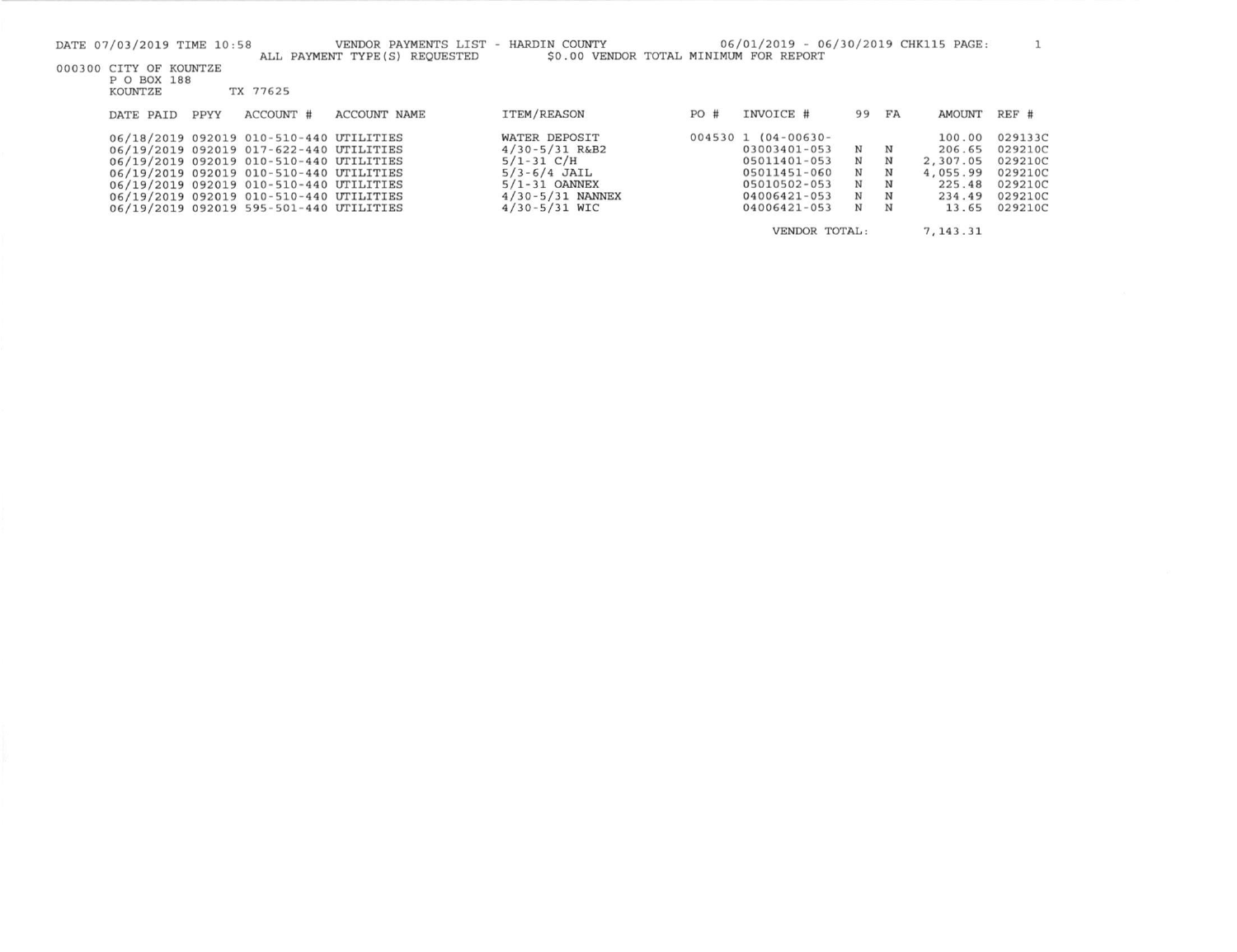| DATE 07/03/2019 TIME 10:58 |      |                                         | VENDOR PAYMENTS LIST - HARDIN COUNTY<br>ALL PAYMENT TYPE (S) REQUESTED | \$0.00 VENDOR TOTAL MINIMUM FOR REPORT |     | 06/01/2019 - 06/30/2019 CHK115 PAGE: |     |    |           |         |
|----------------------------|------|-----------------------------------------|------------------------------------------------------------------------|----------------------------------------|-----|--------------------------------------|-----|----|-----------|---------|
| 000300 CITY OF KOUNTZE     |      |                                         |                                                                        |                                        |     |                                      |     |    |           |         |
| P O BOX 188<br>KOUNTZE     |      | TX 77625                                |                                                                        |                                        |     |                                      |     |    |           |         |
|                            |      |                                         |                                                                        |                                        |     |                                      |     |    |           |         |
| DATE PAID                  | PPYY | ACCOUNT #                               | <b>ACCOUNT NAME</b>                                                    | ITEM/REASON                            | PO# | INVOICE #                            | 99  | FA | AMOUNT    | REF #   |
|                            |      |                                         |                                                                        |                                        |     |                                      |     |    |           |         |
|                            |      | 06/18/2019 092019 010-510-440 UTILITIES |                                                                        | WATER DEPOSIT                          |     | $004530$ 1 $(04-00630-$              |     |    | 100.00    | 029133C |
|                            |      | 06/19/2019 092019 017-622-440 UTILITIES |                                                                        | $4/30 - 5/31$ R&B2                     |     | 03003401-053                         | N N |    | 206.65    | 029210C |
|                            |      | 06/19/2019 092019 010-510-440 UTILITIES |                                                                        | $5/1 - 31$ C/H                         |     | 05011401-053                         | N   | N  | 2,307.05  | 029210C |
|                            |      | 06/19/2019 092019 010-510-440 UTILITIES |                                                                        | $5/3 - 6/4$ JAIL                       |     | 05011451-060                         | N   | N  | 4.055.99  | 029210C |
|                            |      | 06/19/2019 092019 010-510-440 UTILITIES |                                                                        | $5/1 - 31$ OANNEX                      |     | 05010502-053                         | N   | N  | 225.48    | 029210C |
|                            |      | 06/19/2019 092019 010-510-440 UTILITIES |                                                                        | $4/30 - 5/31$ NANNEX                   |     | 04006421-053                         | N   | N  | 234.49    | 029210C |
|                            |      | 06/19/2019 092019 595-501-440 UTILITIES |                                                                        | $4/30 - 5/31$ WIC                      |     | $04006421 - 053$                     | N   | N  | 13.65     | 029210C |
|                            |      |                                         |                                                                        |                                        |     | VENDOR TOTAL:                        |     |    | 7, 143.31 |         |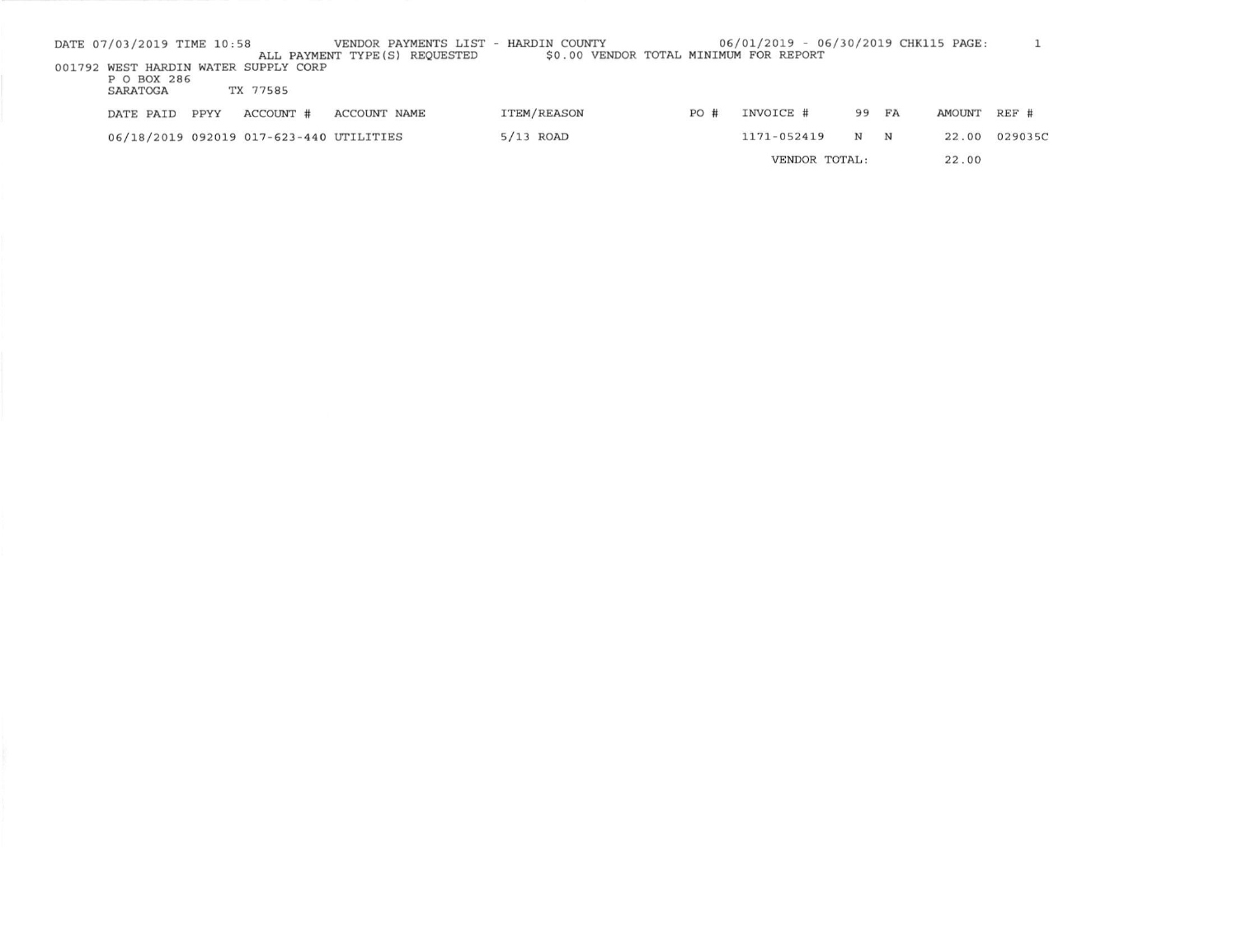| DATE 07/03/2019 TIME 10:58              |      |           |              | VENDOR PAYMENTS LIST - HARDIN COUNTY |                    |  |     | 06/01/2019 - 06/30/2019 CHK115 PAGE:   |   |             |               |         |
|-----------------------------------------|------|-----------|--------------|--------------------------------------|--------------------|--|-----|----------------------------------------|---|-------------|---------------|---------|
|                                         |      |           |              | ALL PAYMENT TYPE (S) REQUESTED       |                    |  |     | \$0.00 VENDOR TOTAL MINIMUM FOR REPORT |   |             |               |         |
| 001792 WEST HARDIN WATER SUPPLY CORP    |      |           |              |                                      |                    |  |     |                                        |   |             |               |         |
| P O BOX 286                             |      |           |              |                                      |                    |  |     |                                        |   |             |               |         |
| SARATOGA                                |      | TX 77585  |              |                                      |                    |  |     |                                        |   |             |               |         |
| DATE PAID                               | PPYY | ACCOUNT # | ACCOUNT NAME |                                      | <b>ITEM/REASON</b> |  | PO# | INVOICE #                              |   | 99 FA       | <b>AMOUNT</b> | $REF$ # |
| 06/18/2019 092019 017-623-440 UTILITIES |      |           |              |                                      | $5/13$ ROAD        |  |     | 1171-052419                            | N | $\mathbf N$ | 22.00         | 029035C |
|                                         |      |           |              |                                      |                    |  |     | VENDOR TOTAL:                          |   |             | 22.00         |         |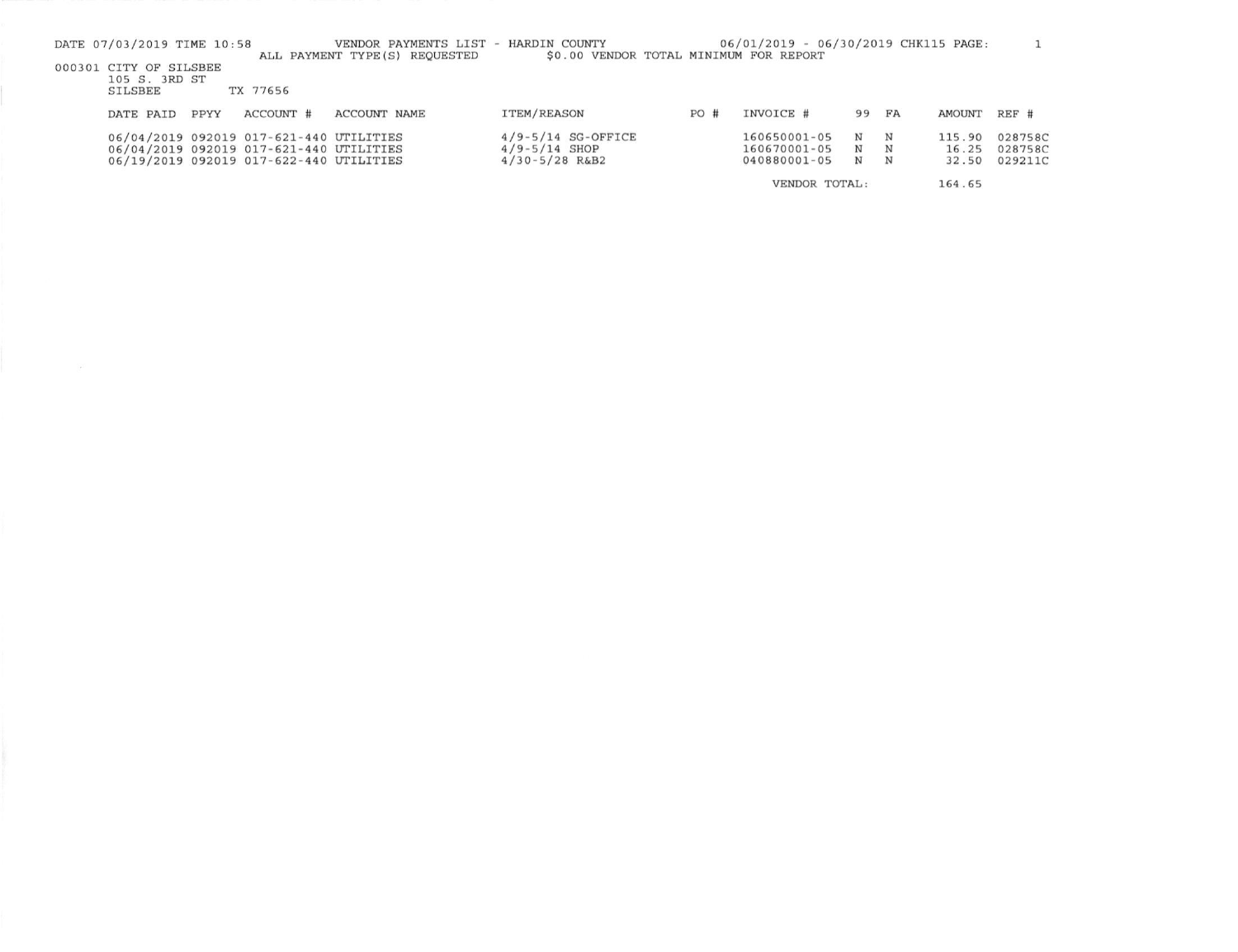| DATE 07/03/2019 TIME 10:58                                |                                                                                                                               | VENDOR PAYMENTS LIST - HARDIN COUNTY<br>ALL PAYMENT TYPE (S) REQUESTED | \$0.00 VENDOR TOTAL MINIMUM FOR REPORT                            |      | 06/01/2019 - 06/30/2019 CHK115 PAGE:         |             |             |                          |                               |
|-----------------------------------------------------------|-------------------------------------------------------------------------------------------------------------------------------|------------------------------------------------------------------------|-------------------------------------------------------------------|------|----------------------------------------------|-------------|-------------|--------------------------|-------------------------------|
| 000301 CITY OF SILSBEE<br>105 S. 3RD ST<br><b>SILSBEE</b> | TX 77656                                                                                                                      |                                                                        |                                                                   |      |                                              |             |             |                          |                               |
| PPYY<br>DATE PAID                                         | ACCOUNT #                                                                                                                     | <b>ACCOUNT NAME</b>                                                    | <b>ITEM/REASON</b>                                                | PO # | INVOICE #                                    | 99          | FA          | AMOUNT                   | REF #                         |
|                                                           | 06/04/2019 092019 017-621-440 UTILITIES<br>06/04/2019 092019 017-621-440 UTILITIES<br>06/19/2019 092019 017-622-440 UTILITIES |                                                                        | $4/9 - 5/14$ SG-OFFICE<br>$4/9 - 5/14$ SHOP<br>$4/30 - 5/28$ R&B2 |      | 160650001-05<br>160670001-05<br>040880001-05 | N<br>N<br>N | N<br>N<br>N | 115.90<br>16.25<br>32.50 | 028758C<br>028758C<br>029211C |
|                                                           |                                                                                                                               |                                                                        |                                                                   |      | VENDOR TOTAL:                                |             |             | 164.65                   |                               |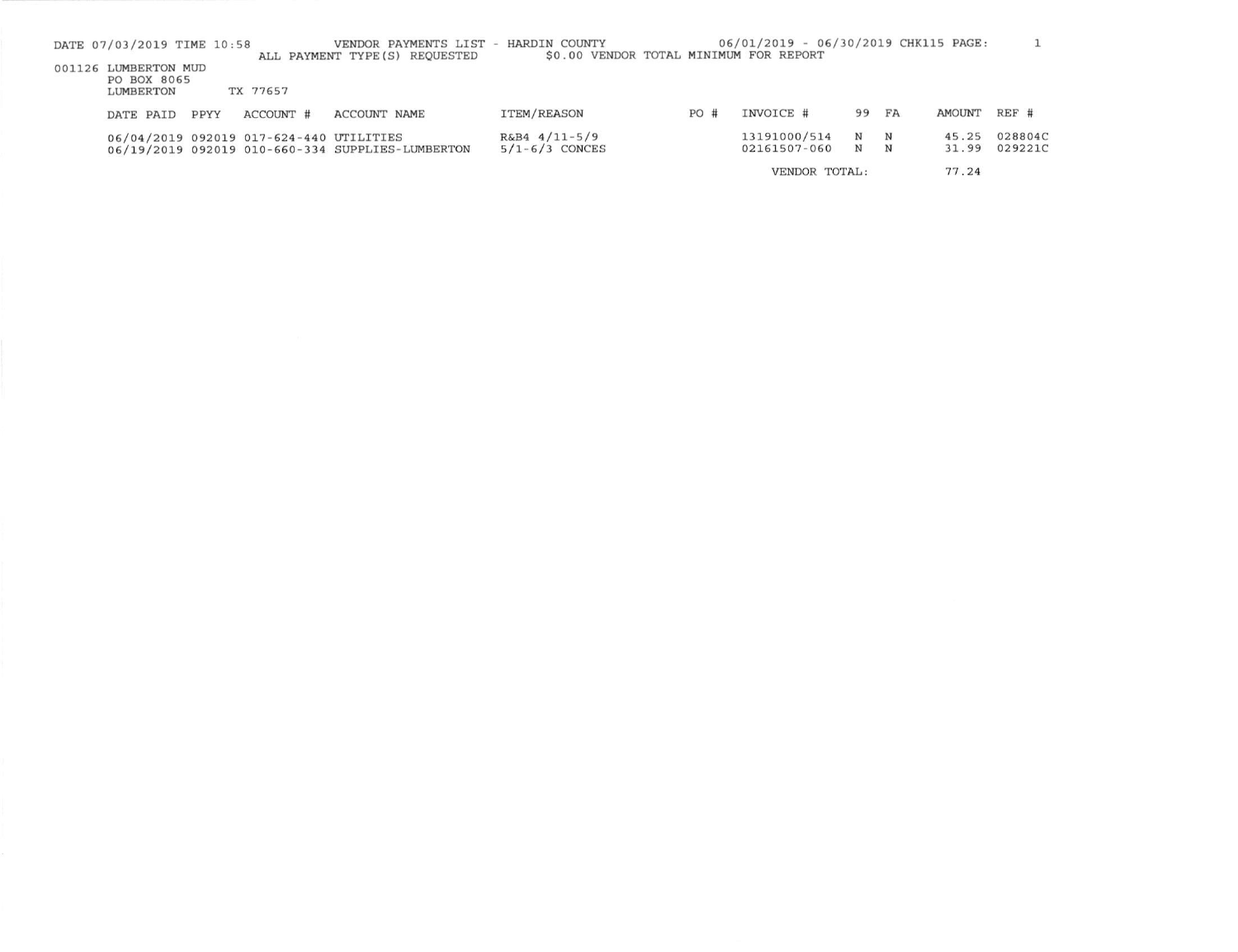| DATE 07/03/2019 TIME 10:58 |      |                                         | VENDOR PAYMENTS LIST - HARDIN COUNTY<br>ALL PAYMENT TYPE (S) REQUESTED | \$0.00 VENDOR TOTAL MINIMUM FOR REPORT |     | 06/01/2019 - 06/30/2019 CHK115 PAGE: |                            |                  |                |                    |
|----------------------------|------|-----------------------------------------|------------------------------------------------------------------------|----------------------------------------|-----|--------------------------------------|----------------------------|------------------|----------------|--------------------|
| 001126 LUMBERTON MUD       |      |                                         |                                                                        |                                        |     |                                      |                            |                  |                |                    |
| PO BOX 8065<br>LUMBERTON   |      | TX 77657                                |                                                                        |                                        |     |                                      |                            |                  |                |                    |
| DATE PAID                  | PPYY | ACCOUNT #                               | ACCOUNT NAME                                                           | <b>ITEM/REASON</b>                     | PO# | INVOICE #                            | 99 FA                      |                  | AMOUNT         | REF #              |
|                            |      | 06/04/2019 092019 017-624-440 UTILITIES | 06/19/2019 092019 010-660-334 SUPPLIES-LUMBERTON                       | $R\&B4$ 4/11-5/9<br>$5/1 - 6/3$ CONCES |     | 13191000/514<br>02161507-060         | $\mathbf N$<br>$\mathbf N$ | $\mathbf N$<br>N | 45.25<br>31.99 | 028804C<br>029221C |
|                            |      |                                         |                                                                        |                                        |     |                                      |                            |                  |                |                    |

77.24 VENDOR TOTAL: